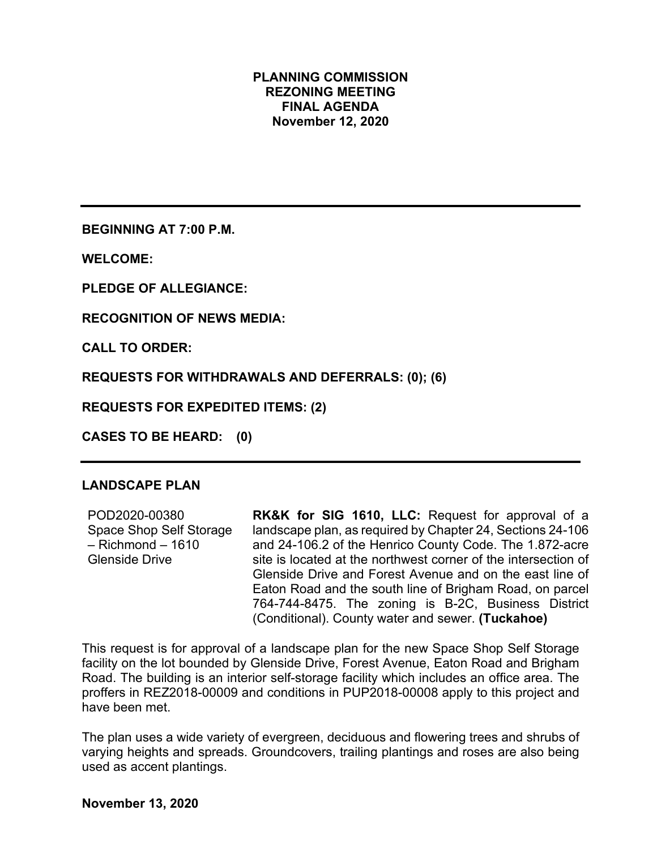#### **PLANNING COMMISSION REZONING MEETING FINAL AGENDA November 12, 2020**

**BEGINNING AT 7:00 P.M.**

**WELCOME:**

**PLEDGE OF ALLEGIANCE:**

**RECOGNITION OF NEWS MEDIA:**

**CALL TO ORDER:**

**REQUESTS FOR WITHDRAWALS AND DEFERRALS: (0); (6)**

**REQUESTS FOR EXPEDITED ITEMS: (2)**

**CASES TO BE HEARD: (0)**

## **LANDSCAPE PLAN**

| POD2020-00380           | <b>RK&amp;K for SIG 1610, LLC: Request for approval of a</b>   |
|-------------------------|----------------------------------------------------------------|
| Space Shop Self Storage | landscape plan, as required by Chapter 24, Sections 24-106     |
| – Richmond – 1610       | and 24-106.2 of the Henrico County Code. The 1.872-acre        |
| Glenside Drive          | site is located at the northwest corner of the intersection of |
|                         | Glenside Drive and Forest Avenue and on the east line of       |
|                         | Eaton Road and the south line of Brigham Road, on parcel       |
|                         | 764-744-8475. The zoning is B-2C, Business District            |
|                         | (Conditional). County water and sewer. (Tuckahoe)              |

This request is for approval of a landscape plan for the new Space Shop Self Storage facility on the lot bounded by Glenside Drive, Forest Avenue, Eaton Road and Brigham Road. The building is an interior self-storage facility which includes an office area. The proffers in REZ2018-00009 and conditions in PUP2018-00008 apply to this project and have been met.

The plan uses a wide variety of evergreen, deciduous and flowering trees and shrubs of varying heights and spreads. Groundcovers, trailing plantings and roses are also being used as accent plantings.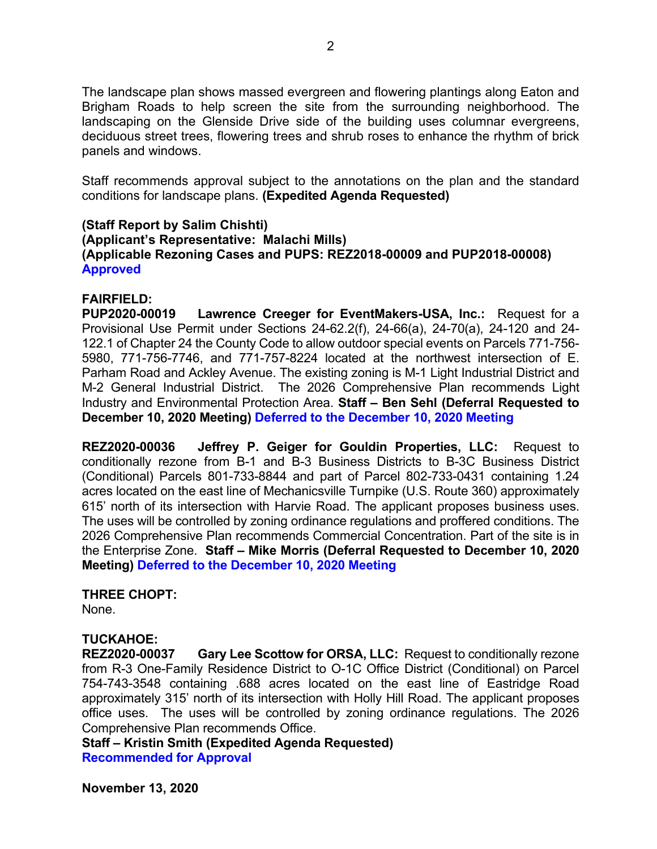The landscape plan shows massed evergreen and flowering plantings along Eaton and Brigham Roads to help screen the site from the surrounding neighborhood. The landscaping on the Glenside Drive side of the building uses columnar evergreens, deciduous street trees, flowering trees and shrub roses to enhance the rhythm of brick panels and windows.

Staff recommends approval subject to the annotations on the plan and the standard conditions for landscape plans. **(Expedited Agenda Requested)**

### **(Staff Report by Salim Chishti) (Applicant's Representative: Malachi Mills) (Applicable Rezoning Cases and PUPS: REZ2018-00009 and PUP2018-00008) Approved**

### **FAIRFIELD:**

**PUP2020-00019 Lawrence Creeger for EventMakers-USA, Inc.:** Request for a Provisional Use Permit under Sections 24-62.2(f), 24-66(a), 24-70(a), 24-120 and 24- 122.1 of Chapter 24 the County Code to allow outdoor special events on Parcels 771-756- 5980, 771-756-7746, and 771-757-8224 located at the northwest intersection of E. Parham Road and Ackley Avenue. The existing zoning is M-1 Light Industrial District and M-2 General Industrial District. The 2026 Comprehensive Plan recommends Light Industry and Environmental Protection Area. **Staff – Ben Sehl (Deferral Requested to December 10, 2020 Meeting) Deferred to the December 10, 2020 Meeting**

**REZ2020-00036 Jeffrey P. Geiger for Gouldin Properties, LLC:** Request to conditionally rezone from B-1 and B-3 Business Districts to B-3C Business District (Conditional) Parcels 801-733-8844 and part of Parcel 802-733-0431 containing 1.24 acres located on the east line of Mechanicsville Turnpike (U.S. Route 360) approximately 615' north of its intersection with Harvie Road. The applicant proposes business uses. The uses will be controlled by zoning ordinance regulations and proffered conditions. The 2026 Comprehensive Plan recommends Commercial Concentration. Part of the site is in the Enterprise Zone. **Staff – Mike Morris (Deferral Requested to December 10, 2020 Meeting) Deferred to the December 10, 2020 Meeting**

### **THREE CHOPT:**

None.

### **TUCKAHOE:**

**REZ2020-00037 Gary Lee Scottow for ORSA, LLC:** Request to conditionally rezone from R-3 One-Family Residence District to O-1C Office District (Conditional) on Parcel 754-743-3548 containing .688 acres located on the east line of Eastridge Road approximately 315' north of its intersection with Holly Hill Road. The applicant proposes office uses. The uses will be controlled by zoning ordinance regulations. The 2026 Comprehensive Plan recommends Office.

**Staff – Kristin Smith (Expedited Agenda Requested) Recommended for Approval**

**November 13, 2020**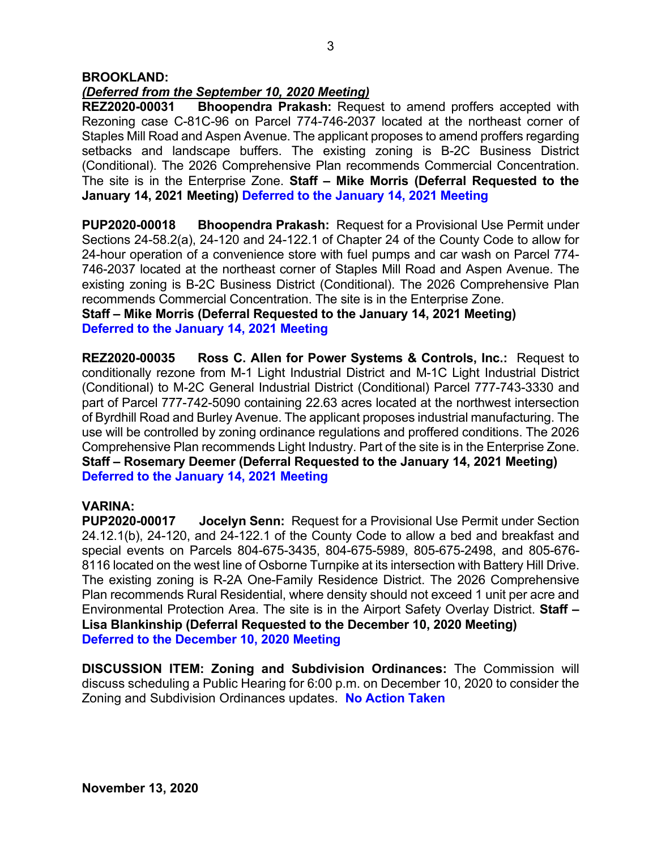#### **BROOKLAND:**

# *(Deferred from the September 10, 2020 Meeting)*

**Bhoopendra Prakash:** Request to amend proffers accepted with Rezoning case C-81C-96 on Parcel 774-746-2037 located at the northeast corner of Staples Mill Road and Aspen Avenue. The applicant proposes to amend proffers regarding setbacks and landscape buffers. The existing zoning is B-2C Business District (Conditional). The 2026 Comprehensive Plan recommends Commercial Concentration. The site is in the Enterprise Zone. **Staff – Mike Morris (Deferral Requested to the January 14, 2021 Meeting) Deferred to the January 14, 2021 Meeting**

**PUP2020-00018 Bhoopendra Prakash:** Request for a Provisional Use Permit under Sections 24-58.2(a), 24-120 and 24-122.1 of Chapter 24 of the County Code to allow for 24-hour operation of a convenience store with fuel pumps and car wash on Parcel 774- 746-2037 located at the northeast corner of Staples Mill Road and Aspen Avenue. The existing zoning is B-2C Business District (Conditional). The 2026 Comprehensive Plan recommends Commercial Concentration. The site is in the Enterprise Zone.

**Staff – Mike Morris (Deferral Requested to the January 14, 2021 Meeting) Deferred to the January 14, 2021 Meeting**

**REZ2020-00035 Ross C. Allen for Power Systems & Controls, Inc.:** Request to conditionally rezone from M-1 Light Industrial District and M-1C Light Industrial District (Conditional) to M-2C General Industrial District (Conditional) Parcel 777-743-3330 and part of Parcel 777-742-5090 containing 22.63 acres located at the northwest intersection of Byrdhill Road and Burley Avenue. The applicant proposes industrial manufacturing. The use will be controlled by zoning ordinance regulations and proffered conditions. The 2026 Comprehensive Plan recommends Light Industry. Part of the site is in the Enterprise Zone. **Staff – Rosemary Deemer (Deferral Requested to the January 14, 2021 Meeting) Deferred to the January 14, 2021 Meeting**

**VARINA: Jocelyn Senn:** Request for a Provisional Use Permit under Section 24.12.1(b), 24-120, and 24-122.1 of the County Code to allow a bed and breakfast and special events on Parcels 804-675-3435, 804-675-5989, 805-675-2498, and 805-676- 8116 located on the west line of Osborne Turnpike at its intersection with Battery Hill Drive. The existing zoning is R-2A One-Family Residence District. The 2026 Comprehensive Plan recommends Rural Residential, where density should not exceed 1 unit per acre and Environmental Protection Area. The site is in the Airport Safety Overlay District. **Staff – Lisa Blankinship (Deferral Requested to the December 10, 2020 Meeting) Deferred to the December 10, 2020 Meeting**

**DISCUSSION ITEM: Zoning and Subdivision Ordinances:** The Commission will discuss scheduling a Public Hearing for 6:00 p.m. on December 10, 2020 to consider the Zoning and Subdivision Ordinances updates. **No Action Taken**